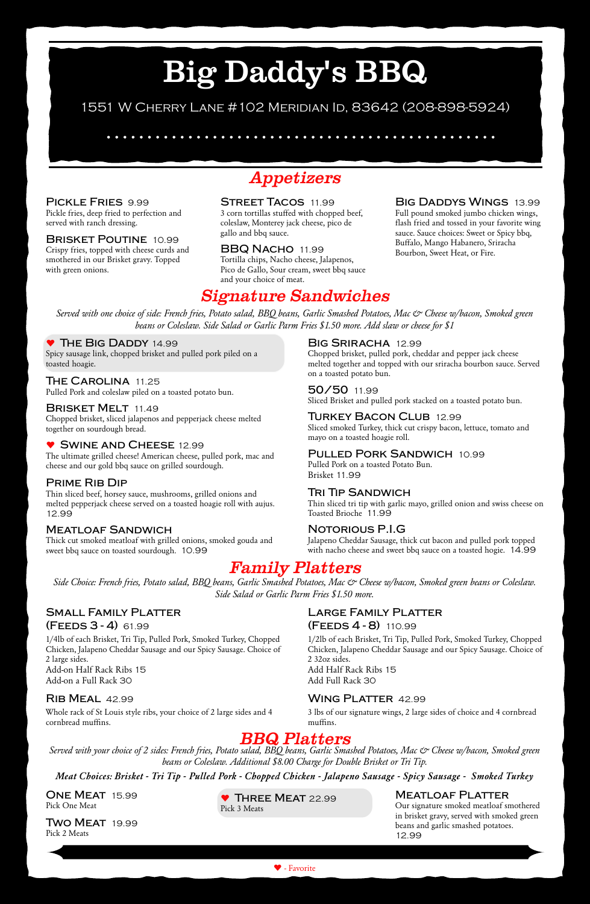# Big Daddy's BBQ



### 1551 W Cherry Lane #102 Meridian Id, 83642 (208-898-5924)

### *BBQ Platters*

*Served with your choice of 2 sides: French fries, Potato salad, BBQ beans, Garlic Smashed Potatoes, Mac & Cheese w/bacon, Smoked green beans or Coleslaw. Additional \$8.00 Charge for Double Brisket or Tri Tip.*

*Meat Choices: Brisket - Tri Tip - Pulled Pork - Chopped Chicken - Jalapeno Sausage - Spicy Sausage - Smoked Turkey*

**One Meat** 15.99 Pick One Meat

**Two Meat** 19.99 Pick 2 Meats

 **Three Meat** 22.99 Pick 3 Meats

### **Meatloaf Platter**

Our signature smoked meatloaf smothered in brisket gravy, served with smoked green beans and garlic smashed potatoes. 12.99

### *Family Platters*

*Side Choice: French fries, Potato salad, BBQ beans, Garlic Smashed Potatoes, Mac & Cheese w/bacon, Smoked green beans or Coleslaw. Side Salad or Garlic Parm Fries \$1.50 more.*

#### **Small Family Platter (Feeds 3 - 4)** 61.99

1/4lb of each Brisket, Tri Tip, Pulled Pork, Smoked Turkey, Chopped Chicken, Jalapeno Cheddar Sausage and our Spicy Sausage. Choice of

2 large sides. Add-on Half Rack Ribs 15 Add-on a Full Rack 30

### **Rib Meal** 42.99

Whole rack of St Louis style ribs, your choice of 2 large sides and 4 cornbread muffins.

### **Large Family Platter (Feeds 4 - 8)** 110.99

1/2lb of each Brisket, Tri Tip, Pulled Pork, Smoked Turkey, Chopped Chicken, Jalapeno Cheddar Sausage and our Spicy Sausage. Choice of

2 32oz sides. Add Half Rack Ribs 15 Add Full Rack 30

### **Wing Platter** 42.99

3 lbs of our signature wings, 2 large sides of choice and 4 cornbread muffins.

### *Signature Sandwiches*

*Served with one choice of side: French fries, Potato salad, BBQ beans, Garlic Smashed Potatoes, Mac & Cheese w/bacon, Smoked green beans or Coleslaw. Side Salad or Garlic Parm Fries \$1.50 more. Add slaw or cheese for \$1*

### **The Big Daddy** 14.99

Spicy sausage link, chopped brisket and pulled pork piled on a toasted hoagie.

### **The Carolina** 11.25

Pulled Pork and coleslaw piled on a toasted potato bun.

#### **Brisket Melt** 11.49

Chopped brisket, sliced jalapenos and pepperjack cheese melted together on sourdough bread.

#### **Swine and Cheese** 12.99

The ultimate grilled cheese! American cheese, pulled pork, mac and cheese and our gold bbq sauce on grilled sourdough.

### **Prime Rib Dip**

Thin sliced beef, horsey sauce, mushrooms, grilled onions and melted pepperjack cheese served on a toasted hoagie roll with aujus. 12.99

### **Meatloaf Sandwich**

Thick cut smoked meatloaf with grilled onions, smoked gouda and sweet bbq sauce on toasted sourdough. 10.99

#### **Big Sriracha** 12.99

Chopped brisket, pulled pork, cheddar and pepper jack cheese melted together and topped with our sriracha bourbon sauce. Served on a toasted potato bun.

### **50/50** 11.99

Sliced Brisket and pulled pork stacked on a toasted potato bun.

### **Turkey Bacon Club** 12.99

Sliced smoked Turkey, thick cut crispy bacon, lettuce, tomato and mayo on a toasted hoagie roll.

#### **Pulled Pork Sandwich** 10.99

Pulled Pork on a toasted Potato Bun. Brisket 11.99

#### **Tri Tip Sandwich**

Thin sliced tri tip with garlic mayo, grilled onion and swiss cheese on Toasted Brioche 11.99

### **Notorious P.I.G**

Jalapeno Cheddar Sausage, thick cut bacon and pulled pork topped with nacho cheese and sweet bbq sauce on a toasted hogie. 14.99

*Appetizers*

**Pickle Fries** 9.99 Pickle fries, deep fried to perfection and served with ranch dressing.

**Brisket Poutine** 10.99 Crispy fries, topped with cheese curds and smothered in our Brisket gravy. Topped with green onions.

**Street Tacos** 11.99 3 corn tortillas stuffed with chopped beef, coleslaw, Monterey jack cheese, pico de gallo and bbq sauce.

**BBQ Nacho** 11.99 Tortilla chips, Nacho cheese, Jalapenos, Pico de Gallo, Sour cream, sweet bbq sauce and your choice of meat.

### **Big Daddys Wings** 13.99

Full pound smoked jumbo chicken wings, flash fried and tossed in your favorite wing sauce. Sauce choices: Sweet or Spicy bbq, Buffalo, Mango Habanero, Sriracha Bourbon, Sweet Heat, or Fire.